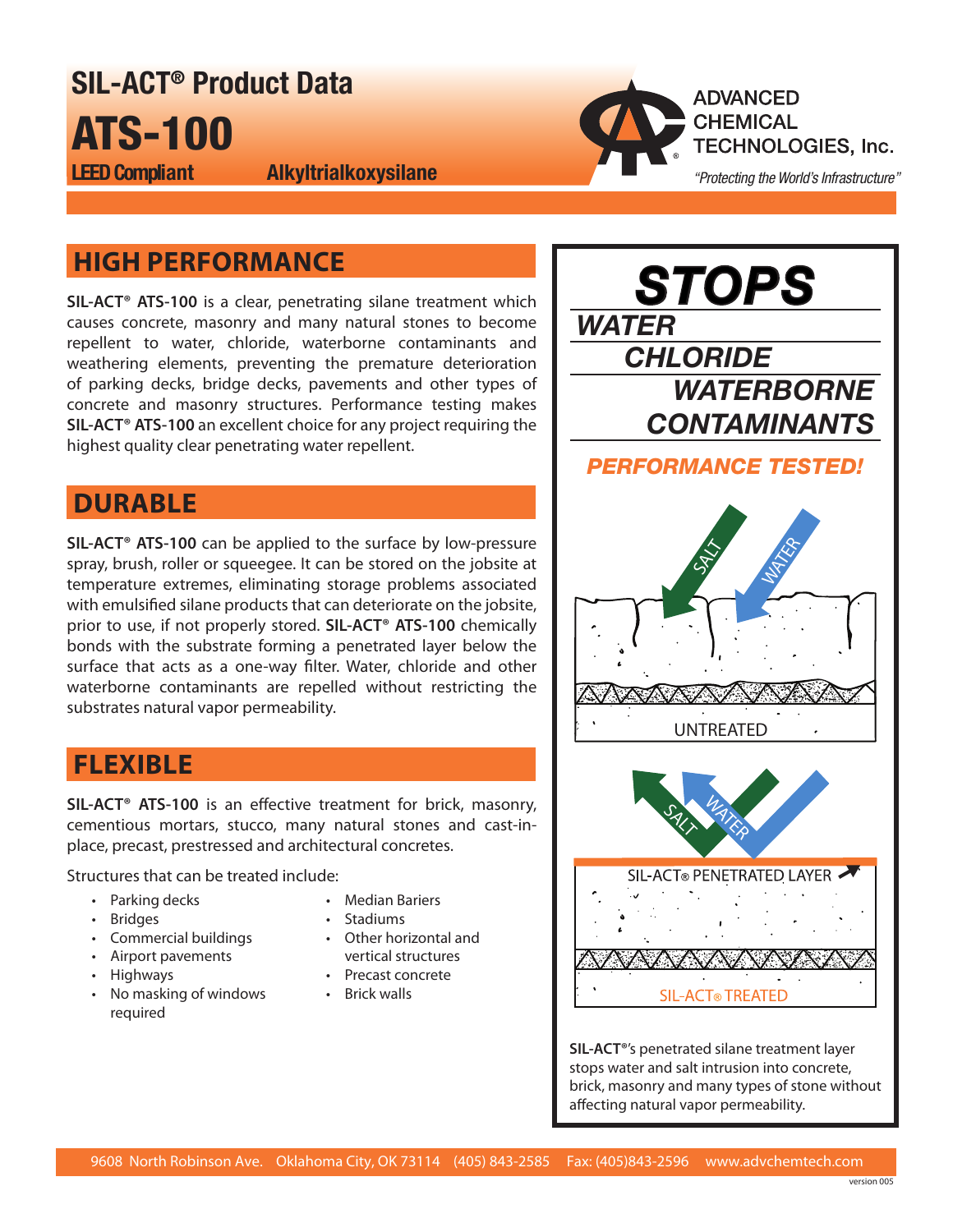SIL‑ACT® Product Data ATS‑100 LEED Compliant Alkyltrialkoxysilane



# **HIGH PERFORMANCE**

**SIL‑ACT® ATS‑100** is a clear, penetrating silane treatment which causes concrete, masonry and many natural stones to become repellent to water, chloride, waterborne contaminants and weathering elements, preventing the premature deterioration of parking decks, bridge decks, pavements and other types of concrete and masonry structures. Performance testing makes **SIL‑ACT® ATS‑100** an excellent choice for any project requiring the highest quality clear penetrating water repellent.

### **DURABLE**

**SIL‑ACT® ATS‑100** can be applied to the surface by low-pressure spray, brush, roller or squeegee. It can be stored on the jobsite at temperature extremes, eliminating storage problems associated with emulsified silane products that can deteriorate on the jobsite, prior to use, if not properly stored. **SIL‑ACT® ATS‑100** chemically bonds with the substrate forming a penetrated layer below the surface that acts as a one-way filter. Water, chloride and other waterborne contaminants are repelled without restricting the substrates natural vapor permeability.

# **FLEXIBLE**

**SIL‑ACT® ATS‑100** is an effective treatment for brick, masonry, cementious mortars, stucco, many natural stones and cast-inplace, precast, prestressed and architectural concretes.

Structures that can be treated include:

- Parking decks
	- Bridges
	- Commercial buildings
	- Airport pavements
	- Highways
	- No masking of windows required
- Median Bariers
- Stadiums
- Other horizontal and vertical structures
- Precast concrete
- Brick walls

*STOPS WATER CHLORIDE WATERBORNE CONTAMINANTS PERFORMANCE TESTED!* UNTREATED **WATER** SALT SIL-ACT® PENETRATED LAYER SALT WATER SALT WATER

**SIL‑ACT®**'s penetrated silane treatment layer stops water and salt intrusion into concrete, brick, masonry and many types of stone without affecting natural vapor permeability.

**SIL-ACT® TREATED**